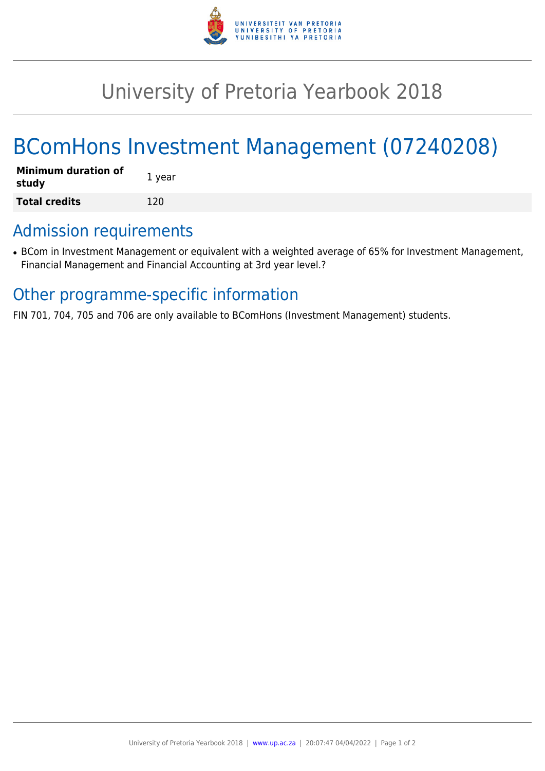

## University of Pretoria Yearbook 2018

# BComHons Investment Management (07240208)

| <b>Minimum duration of</b><br>study | 1 year |
|-------------------------------------|--------|
| <b>Total credits</b>                | 120    |

### Admission requirements

• BCom in Investment Management or equivalent with a weighted average of 65% for Investment Management, Financial Management and Financial Accounting at 3rd year level.?

#### Other programme-specific information

FIN 701, 704, 705 and 706 are only available to BComHons (Investment Management) students.